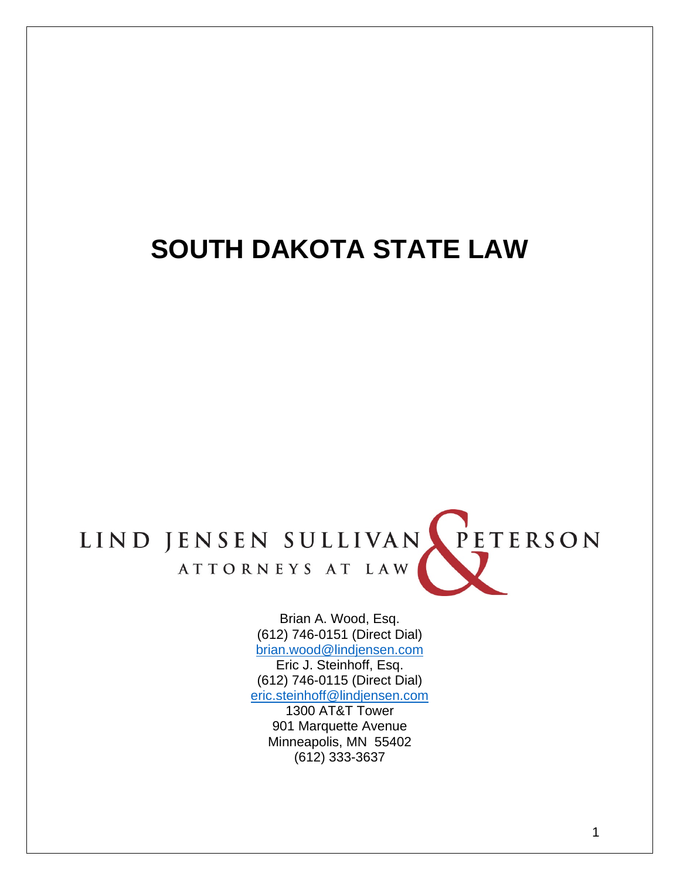# **SOUTH DAKOTA STATE LAW**

# LIND JENSEN SULLIVAN PETERSON ATTORNEYS AT LAW

Brian A. Wood, Esq. (612) 746-0151 (Direct Dial) brian.wood@lindjensen.com Eric J. Steinhoff, Esq. (612) 746-0115 (Direct Dial) eric.steinhoff@lindjensen.com

1300 AT&T Tower 901 Marquette Avenue Minneapolis, MN 55402 (612) 333-3637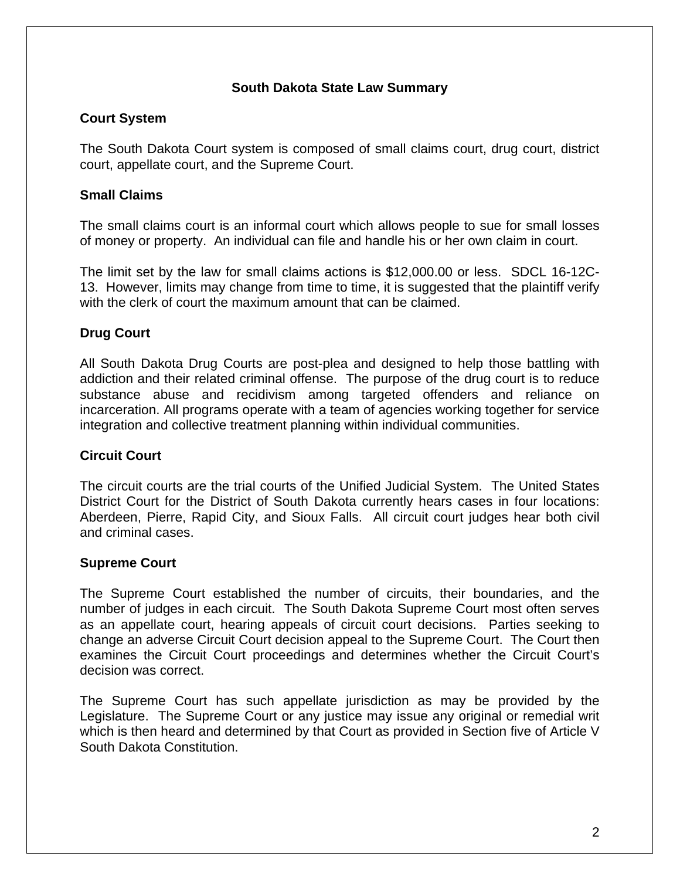#### **South Dakota State Law Summary**

# **Court System**

The South Dakota Court system is composed of small claims court, drug court, district court, appellate court, and the Supreme Court.

# **Small Claims**

The small claims court is an informal court which allows people to sue for small losses of money or property. An individual can file and handle his or her own claim in court.

The limit set by the law for small claims actions is \$12,000.00 or less. SDCL 16-12C-13. However, limits may change from time to time, it is suggested that the plaintiff verify with the clerk of court the maximum amount that can be claimed.

# **Drug Court**

All South Dakota Drug Courts are post-plea and designed to help those battling with addiction and their related criminal offense. The purpose of the drug court is to reduce substance abuse and recidivism among targeted offenders and reliance on incarceration. All programs operate with a team of agencies working together for service integration and collective treatment planning within individual communities.

# **Circuit Court**

The circuit courts are the trial courts of the Unified Judicial System. The United States District Court for the District of South Dakota currently hears cases in four locations: Aberdeen, Pierre, Rapid City, and Sioux Falls. All circuit court judges hear both civil and criminal cases.

#### **Supreme Court**

The Supreme Court established the number of circuits, their boundaries, and the number of judges in each circuit. The South Dakota Supreme Court most often serves as an appellate court, hearing appeals of circuit court decisions. Parties seeking to change an adverse Circuit Court decision appeal to the Supreme Court. The Court then examines the Circuit Court proceedings and determines whether the Circuit Court's decision was correct.

The Supreme Court has such appellate jurisdiction as may be provided by the Legislature. The Supreme Court or any justice may issue any original or remedial writ which is then heard and determined by that Court as provided in Section five of Article V South Dakota Constitution.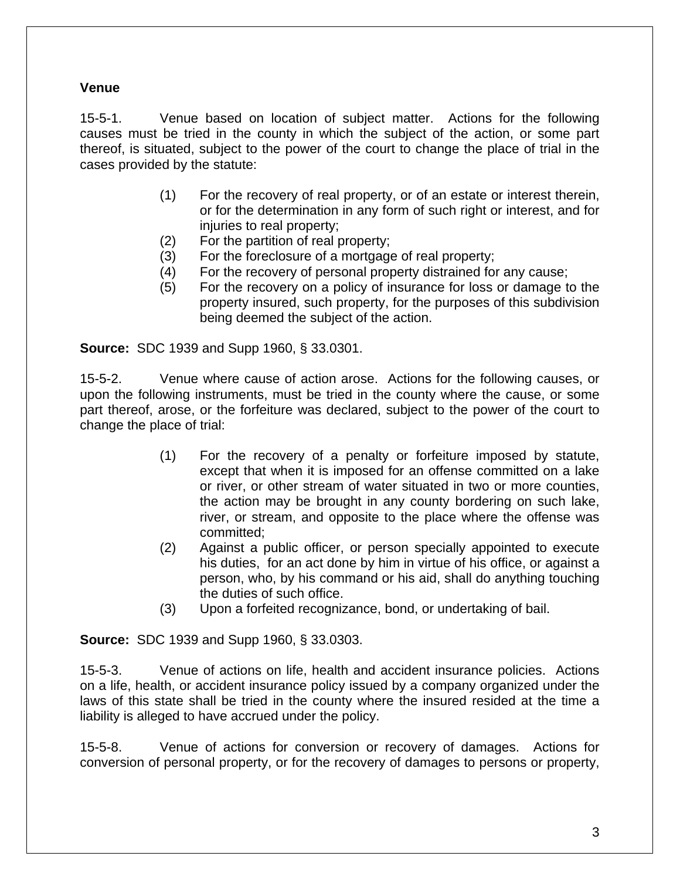#### **Venue**

15-5-1. Venue based on location of subject matter. Actions for the following causes must be tried in the county in which the subject of the action, or some part thereof, is situated, subject to the power of the court to change the place of trial in the cases provided by the statute:

- (1) For the recovery of real property, or of an estate or interest therein, or for the determination in any form of such right or interest, and for injuries to real property;
- (2) For the partition of real property;
- (3) For the foreclosure of a mortgage of real property;
- (4) For the recovery of personal property distrained for any cause;
- (5) For the recovery on a policy of insurance for loss or damage to the property insured, such property, for the purposes of this subdivision being deemed the subject of the action.

**Source:** SDC 1939 and Supp 1960, § 33.0301.

15-5-2. Venue where cause of action arose. Actions for the following causes, or upon the following instruments, must be tried in the county where the cause, or some part thereof, arose, or the forfeiture was declared, subject to the power of the court to change the place of trial:

- (1) For the recovery of a penalty or forfeiture imposed by statute, except that when it is imposed for an offense committed on a lake or river, or other stream of water situated in two or more counties, the action may be brought in any county bordering on such lake, river, or stream, and opposite to the place where the offense was committed;
- (2) Against a public officer, or person specially appointed to execute his duties, for an act done by him in virtue of his office, or against a person, who, by his command or his aid, shall do anything touching the duties of such office.
- (3) Upon a forfeited recognizance, bond, or undertaking of bail.

**Source:** SDC 1939 and Supp 1960, § 33.0303.

15-5-3. Venue of actions on life, health and accident insurance policies. Actions on a life, health, or accident insurance policy issued by a company organized under the laws of this state shall be tried in the county where the insured resided at the time a liability is alleged to have accrued under the policy.

15-5-8. Venue of actions for conversion or recovery of damages. Actions for conversion of personal property, or for the recovery of damages to persons or property,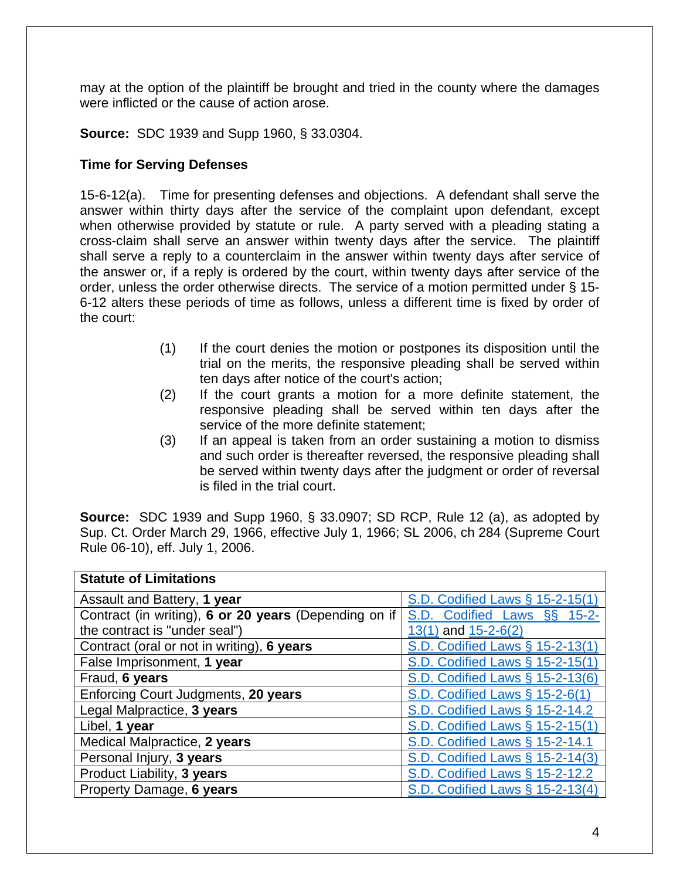may at the option of the plaintiff be brought and tried in the county where the damages were inflicted or the cause of action arose.

**Source:** SDC 1939 and Supp 1960, § 33.0304.

# **Time for Serving Defenses**

15-6-12(a). Time for presenting defenses and objections. A defendant shall serve the answer within thirty days after the service of the complaint upon defendant, except when otherwise provided by statute or rule. A party served with a pleading stating a cross-claim shall serve an answer within twenty days after the service. The plaintiff shall serve a reply to a counterclaim in the answer within twenty days after service of the answer or, if a reply is ordered by the court, within twenty days after service of the order, unless the order otherwise directs. The service of a motion permitted under § 15- 6-12 alters these periods of time as follows, unless a different time is fixed by order of the court:

- (1) If the court denies the motion or postpones its disposition until the trial on the merits, the responsive pleading shall be served within ten days after notice of the court's action;
- (2) If the court grants a motion for a more definite statement, the responsive pleading shall be served within ten days after the service of the more definite statement;
- (3) If an appeal is taken from an order sustaining a motion to dismiss and such order is thereafter reversed, the responsive pleading shall be served within twenty days after the judgment or order of reversal is filed in the trial court.

**Source:** SDC 1939 and Supp 1960, § 33.0907; SD RCP, Rule 12 (a), as adopted by Sup. Ct. Order March 29, 1966, effective July 1, 1966; SL 2006, ch 284 (Supreme Court Rule 06-10), eff. July 1, 2006.

| <b>Statute of Limitations</b>                         |                                 |
|-------------------------------------------------------|---------------------------------|
| Assault and Battery, 1 year                           | S.D. Codified Laws § 15-2-15(1) |
| Contract (in writing), 6 or 20 years (Depending on if | S.D. Codified Laws §§ 15-2-     |
| the contract is "under seal")                         | $13(1)$ and $15-2-6(2)$         |
| Contract (oral or not in writing), 6 years            | S.D. Codified Laws § 15-2-13(1) |
| False Imprisonment, 1 year                            | S.D. Codified Laws § 15-2-15(1) |
| Fraud, 6 years                                        | S.D. Codified Laws § 15-2-13(6) |
| Enforcing Court Judgments, 20 years                   | S.D. Codified Laws § 15-2-6(1)  |
| Legal Malpractice, 3 years                            | S.D. Codified Laws § 15-2-14.2  |
| Libel, 1 year                                         | S.D. Codified Laws § 15-2-15(1) |
| Medical Malpractice, 2 years                          | S.D. Codified Laws § 15-2-14.1  |
| Personal Injury, 3 years                              | S.D. Codified Laws § 15-2-14(3) |
| Product Liability, 3 years                            | S.D. Codified Laws § 15-2-12.2  |
| Property Damage, 6 years                              | S.D. Codified Laws § 15-2-13(4) |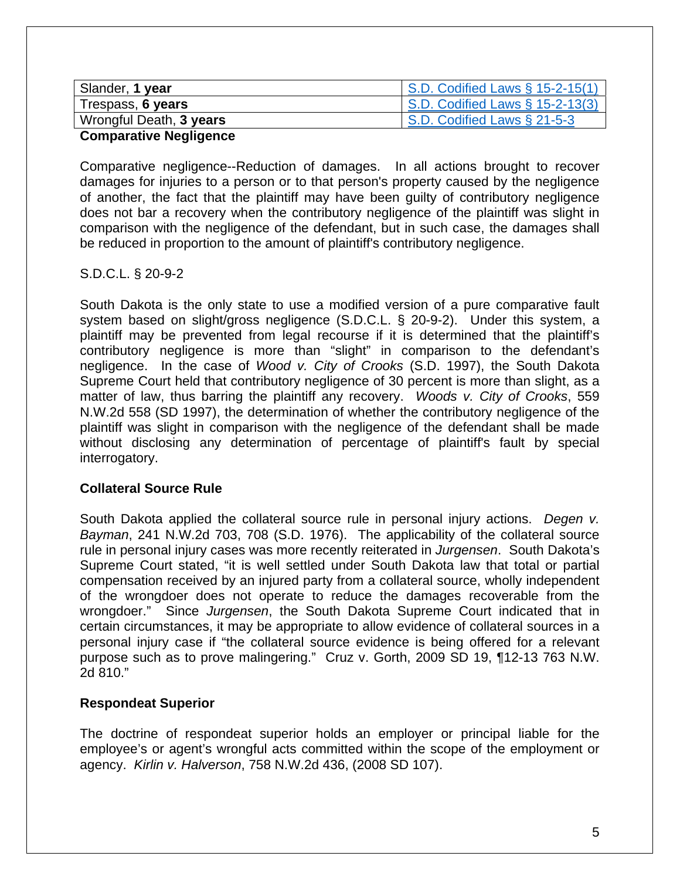| Slander, 1 year                 | S.D. Codified Laws § 15-2-15(1)        |
|---------------------------------|----------------------------------------|
| Trespass, 6 years               | $\sim$ S.D. Codified Laws § 15-2-13(3) |
| Wrongful Death, 3 years         | S.D. Codified Laws § 21-5-3            |
| As proposed to a Martin contra- |                                        |

#### **Comparative Negligence**

Comparative negligence--Reduction of damages. In all actions brought to recover damages for injuries to a person or to that person's property caused by the negligence of another, the fact that the plaintiff may have been guilty of contributory negligence does not bar a recovery when the contributory negligence of the plaintiff was slight in comparison with the negligence of the defendant, but in such case, the damages shall be reduced in proportion to the amount of plaintiff's contributory negligence.

#### S.D.C.L. § 20-9-2

South Dakota is the only state to use a modified version of a pure comparative fault system based on slight/gross negligence (S.D.C.L. § 20-9-2). Under this system, a plaintiff may be prevented from legal recourse if it is determined that the plaintiff's contributory negligence is more than "slight" in comparison to the defendant's negligence. In the case of *Wood v. City of Crooks* (S.D. 1997), the South Dakota Supreme Court held that contributory negligence of 30 percent is more than slight, as a matter of law, thus barring the plaintiff any recovery. *Woods v. City of Crooks*, 559 N.W.2d 558 (SD 1997), the determination of whether the contributory negligence of the plaintiff was slight in comparison with the negligence of the defendant shall be made without disclosing any determination of percentage of plaintiff's fault by special interrogatory.

#### **Collateral Source Rule**

South Dakota applied the collateral source rule in personal injury actions. *Degen v. Bayman*, 241 N.W.2d 703, 708 (S.D. 1976). The applicability of the collateral source rule in personal injury cases was more recently reiterated in *Jurgensen*. South Dakota's Supreme Court stated, "it is well settled under South Dakota law that total or partial compensation received by an injured party from a collateral source, wholly independent of the wrongdoer does not operate to reduce the damages recoverable from the wrongdoer." Since *Jurgensen*, the South Dakota Supreme Court indicated that in certain circumstances, it may be appropriate to allow evidence of collateral sources in a personal injury case if "the collateral source evidence is being offered for a relevant purpose such as to prove malingering." Cruz v. Gorth, 2009 SD 19, ¶12-13 763 N.W. 2d 810."

#### **Respondeat Superior**

The doctrine of respondeat superior holds an employer or principal liable for the employee's or agent's wrongful acts committed within the scope of the employment or agency. *Kirlin v. Halverson*, 758 N.W.2d 436, (2008 SD 107).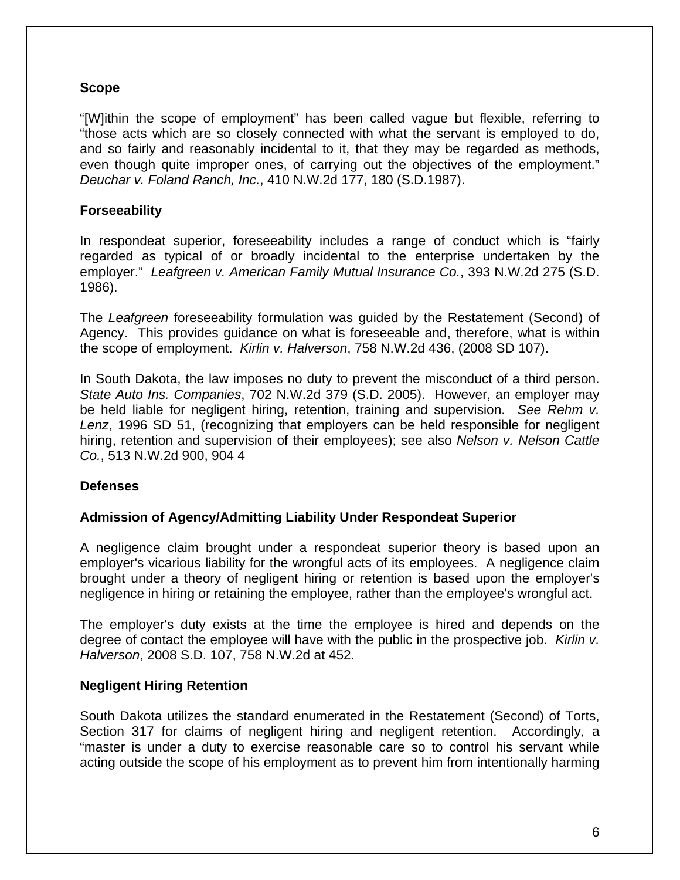#### **Scope**

"[W]ithin the scope of employment" has been called vague but flexible, referring to "those acts which are so closely connected with what the servant is employed to do, and so fairly and reasonably incidental to it, that they may be regarded as methods, even though quite improper ones, of carrying out the objectives of the employment." *Deuchar v. Foland Ranch, Inc.*, 410 N.W.2d 177, 180 (S.D.1987).

#### **Forseeability**

In respondeat superior, foreseeability includes a range of conduct which is "fairly regarded as typical of or broadly incidental to the enterprise undertaken by the employer." *Leafgreen v. American Family Mutual Insurance Co.*, 393 N.W.2d 275 (S.D. 1986).

The *Leafgreen* foreseeability formulation was guided by the Restatement (Second) of Agency. This provides guidance on what is foreseeable and, therefore, what is within the scope of employment. *Kirlin v. Halverson*, 758 N.W.2d 436, (2008 SD 107).

In South Dakota, the law imposes no duty to prevent the misconduct of a third person. *State Auto Ins. Companies*, 702 N.W.2d 379 (S.D. 2005). However, an employer may be held liable for negligent hiring, retention, training and supervision. *See Rehm v. Lenz*, 1996 SD 51, (recognizing that employers can be held responsible for negligent hiring, retention and supervision of their employees); see also *Nelson v. Nelson Cattle Co.*, 513 N.W.2d 900, 904 4

#### **Defenses**

#### **Admission of Agency/Admitting Liability Under Respondeat Superior**

A negligence claim brought under a respondeat superior theory is based upon an employer's vicarious liability for the wrongful acts of its employees. A negligence claim brought under a theory of negligent hiring or retention is based upon the employer's negligence in hiring or retaining the employee, rather than the employee's wrongful act.

The employer's duty exists at the time the employee is hired and depends on the degree of contact the employee will have with the public in the prospective job. *Kirlin v. Halverson*, 2008 S.D. 107, 758 N.W.2d at 452.

#### **Negligent Hiring Retention**

South Dakota utilizes the standard enumerated in the Restatement (Second) of Torts, Section 317 for claims of negligent hiring and negligent retention. Accordingly, a "master is under a duty to exercise reasonable care so to control his servant while acting outside the scope of his employment as to prevent him from intentionally harming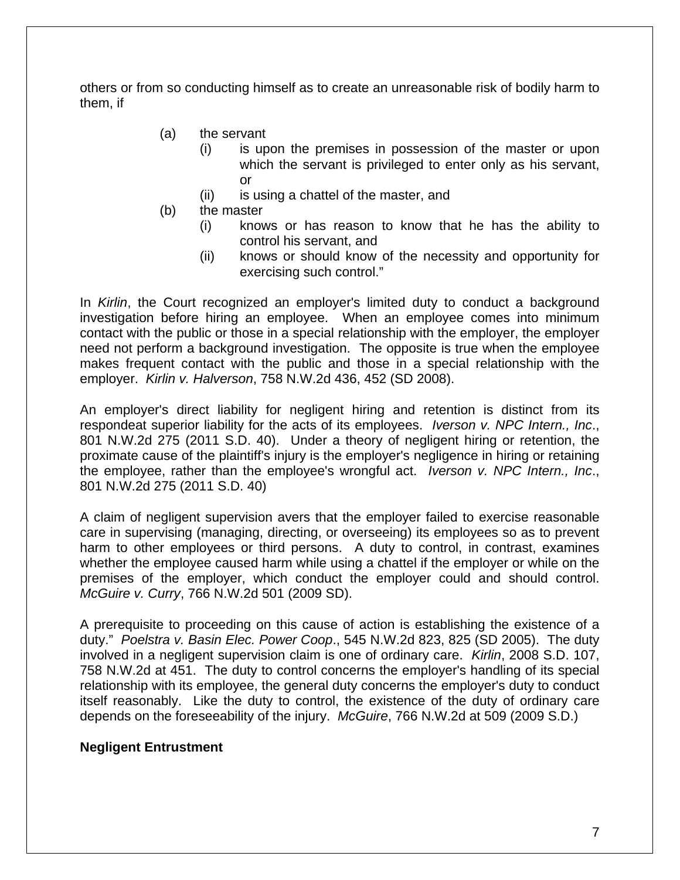others or from so conducting himself as to create an unreasonable risk of bodily harm to them, if

- (a) the servant
	- (i) is upon the premises in possession of the master or upon which the servant is privileged to enter only as his servant, or
	- (ii) is using a chattel of the master, and
- (b) the master
	- (i) knows or has reason to know that he has the ability to control his servant, and
	- (ii) knows or should know of the necessity and opportunity for exercising such control."

In *Kirlin*, the Court recognized an employer's limited duty to conduct a background investigation before hiring an employee. When an employee comes into minimum contact with the public or those in a special relationship with the employer, the employer need not perform a background investigation. The opposite is true when the employee makes frequent contact with the public and those in a special relationship with the employer. *Kirlin v. Halverson*, 758 N.W.2d 436, 452 (SD 2008).

An employer's direct liability for negligent hiring and retention is distinct from its respondeat superior liability for the acts of its employees. *Iverson v. NPC Intern., Inc*., 801 N.W.2d 275 (2011 S.D. 40). Under a theory of negligent hiring or retention, the proximate cause of the plaintiff's injury is the employer's negligence in hiring or retaining the employee, rather than the employee's wrongful act. *Iverson v. NPC Intern., Inc*., 801 N.W.2d 275 (2011 S.D. 40)

A claim of negligent supervision avers that the employer failed to exercise reasonable care in supervising (managing, directing, or overseeing) its employees so as to prevent harm to other employees or third persons. A duty to control, in contrast, examines whether the employee caused harm while using a chattel if the employer or while on the premises of the employer, which conduct the employer could and should control. *McGuire v. Curry*, 766 N.W.2d 501 (2009 SD).

A prerequisite to proceeding on this cause of action is establishing the existence of a duty." *Poelstra v. Basin Elec. Power Coop*., 545 N.W.2d 823, 825 (SD 2005). The duty involved in a negligent supervision claim is one of ordinary care. *Kirlin*, 2008 S.D. 107, 758 N.W.2d at 451. The duty to control concerns the employer's handling of its special relationship with its employee, the general duty concerns the employer's duty to conduct itself reasonably. Like the duty to control, the existence of the duty of ordinary care depends on the foreseeability of the injury. *McGuire*, 766 N.W.2d at 509 (2009 S.D.)

# **Negligent Entrustment**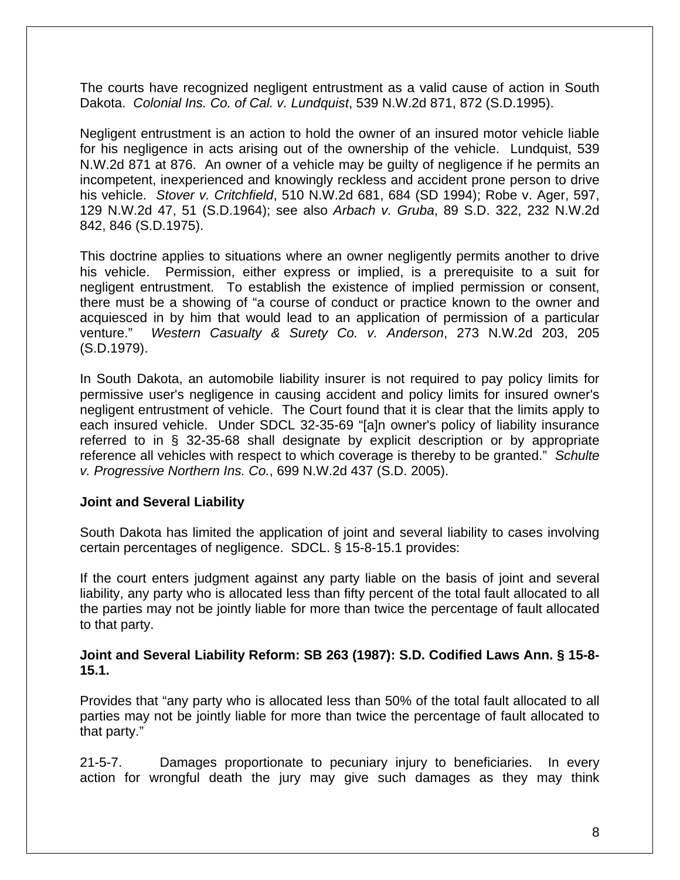The courts have recognized negligent entrustment as a valid cause of action in South Dakota. *Colonial Ins. Co. of Cal. v. Lundquist*, 539 N.W.2d 871, 872 (S.D.1995).

Negligent entrustment is an action to hold the owner of an insured motor vehicle liable for his negligence in acts arising out of the ownership of the vehicle. Lundquist, 539 N.W.2d 871 at 876. An owner of a vehicle may be guilty of negligence if he permits an incompetent, inexperienced and knowingly reckless and accident prone person to drive his vehicle. *Stover v. Critchfield*, 510 N.W.2d 681, 684 (SD 1994); Robe v. Ager, 597, 129 N.W.2d 47, 51 (S.D.1964); see also *Arbach v. Gruba*, 89 S.D. 322, 232 N.W.2d 842, 846 (S.D.1975).

This doctrine applies to situations where an owner negligently permits another to drive his vehicle. Permission, either express or implied, is a prerequisite to a suit for negligent entrustment. To establish the existence of implied permission or consent, there must be a showing of "a course of conduct or practice known to the owner and acquiesced in by him that would lead to an application of permission of a particular venture." *Western Casualty & Surety Co. v. Anderson*, 273 N.W.2d 203, 205 (S.D.1979).

In South Dakota, an automobile liability insurer is not required to pay policy limits for permissive user's negligence in causing accident and policy limits for insured owner's negligent entrustment of vehicle. The Court found that it is clear that the limits apply to each insured vehicle. Under SDCL 32-35-69 "[a]n owner's policy of liability insurance referred to in § 32-35-68 shall designate by explicit description or by appropriate reference all vehicles with respect to which coverage is thereby to be granted." *Schulte v. Progressive Northern Ins. Co.*, 699 N.W.2d 437 (S.D. 2005).

#### **Joint and Several Liability**

South Dakota has limited the application of joint and several liability to cases involving certain percentages of negligence. SDCL. § 15-8-15.1 provides:

If the court enters judgment against any party liable on the basis of joint and several liability, any party who is allocated less than fifty percent of the total fault allocated to all the parties may not be jointly liable for more than twice the percentage of fault allocated to that party.

#### **Joint and Several Liability Reform: SB 263 (1987): S.D. Codified Laws Ann. § 15-8- 15.1.**

Provides that "any party who is allocated less than 50% of the total fault allocated to all parties may not be jointly liable for more than twice the percentage of fault allocated to that party."

21-5-7. Damages proportionate to pecuniary injury to beneficiaries. In every action for wrongful death the jury may give such damages as they may think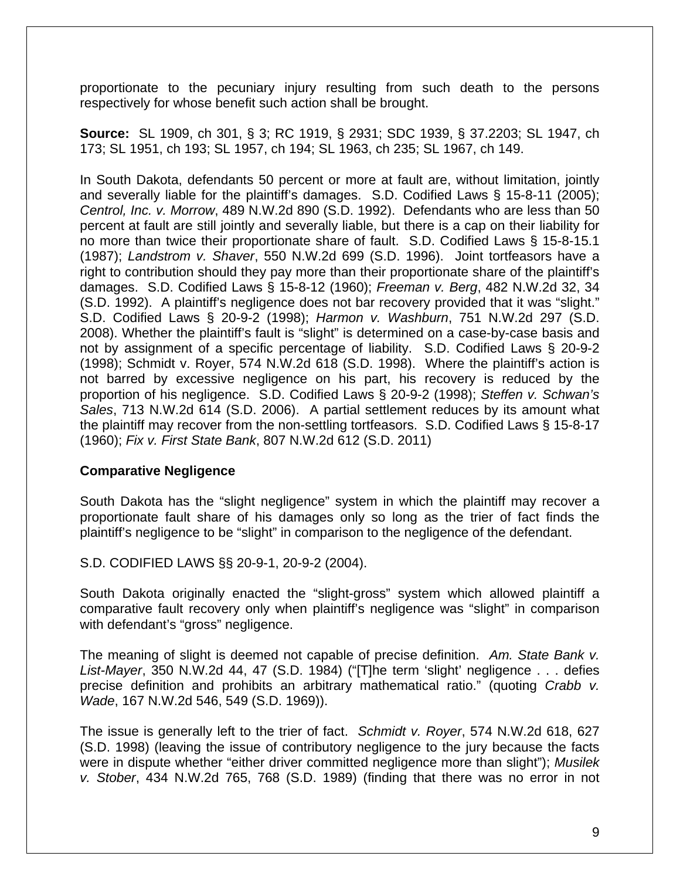proportionate to the pecuniary injury resulting from such death to the persons respectively for whose benefit such action shall be brought.

**Source:** SL 1909, ch 301, § 3; RC 1919, § 2931; SDC 1939, § 37.2203; SL 1947, ch 173; SL 1951, ch 193; SL 1957, ch 194; SL 1963, ch 235; SL 1967, ch 149.

In South Dakota, defendants 50 percent or more at fault are, without limitation, jointly and severally liable for the plaintiff's damages. S.D. Codified Laws § 15-8-11 (2005); *Centrol, Inc. v. Morrow*, 489 N.W.2d 890 (S.D. 1992). Defendants who are less than 50 percent at fault are still jointly and severally liable, but there is a cap on their liability for no more than twice their proportionate share of fault. S.D. Codified Laws § 15-8-15.1 (1987); *Landstrom v. Shaver*, 550 N.W.2d 699 (S.D. 1996). Joint tortfeasors have a right to contribution should they pay more than their proportionate share of the plaintiff's damages. S.D. Codified Laws § 15-8-12 (1960); *Freeman v. Berg*, 482 N.W.2d 32, 34 (S.D. 1992). A plaintiff's negligence does not bar recovery provided that it was "slight." S.D. Codified Laws § 20-9-2 (1998); *Harmon v. Washburn*, 751 N.W.2d 297 (S.D. 2008). Whether the plaintiff's fault is "slight" is determined on a case-by-case basis and not by assignment of a specific percentage of liability. S.D. Codified Laws § 20-9-2 (1998); Schmidt v. Royer, 574 N.W.2d 618 (S.D. 1998). Where the plaintiff's action is not barred by excessive negligence on his part, his recovery is reduced by the proportion of his negligence. S.D. Codified Laws § 20-9-2 (1998); *Steffen v. Schwan's Sales*, 713 N.W.2d 614 (S.D. 2006). A partial settlement reduces by its amount what the plaintiff may recover from the non-settling tortfeasors. S.D. Codified Laws § 15-8-17 (1960); *Fix v. First State Bank*, 807 N.W.2d 612 (S.D. 2011)

#### **Comparative Negligence**

South Dakota has the "slight negligence" system in which the plaintiff may recover a proportionate fault share of his damages only so long as the trier of fact finds the plaintiff's negligence to be "slight" in comparison to the negligence of the defendant.

S.D. CODIFIED LAWS §§ 20-9-1, 20-9-2 (2004).

South Dakota originally enacted the "slight-gross" system which allowed plaintiff a comparative fault recovery only when plaintiff's negligence was "slight" in comparison with defendant's "gross" negligence.

The meaning of slight is deemed not capable of precise definition. *Am. State Bank v. List-Mayer*, 350 N.W.2d 44, 47 (S.D. 1984) ("[T]he term 'slight' negligence . . . defies precise definition and prohibits an arbitrary mathematical ratio." (quoting *Crabb v. Wade*, 167 N.W.2d 546, 549 (S.D. 1969)).

The issue is generally left to the trier of fact. *Schmidt v. Royer*, 574 N.W.2d 618, 627 (S.D. 1998) (leaving the issue of contributory negligence to the jury because the facts were in dispute whether "either driver committed negligence more than slight"); *Musilek v. Stober*, 434 N.W.2d 765, 768 (S.D. 1989) (finding that there was no error in not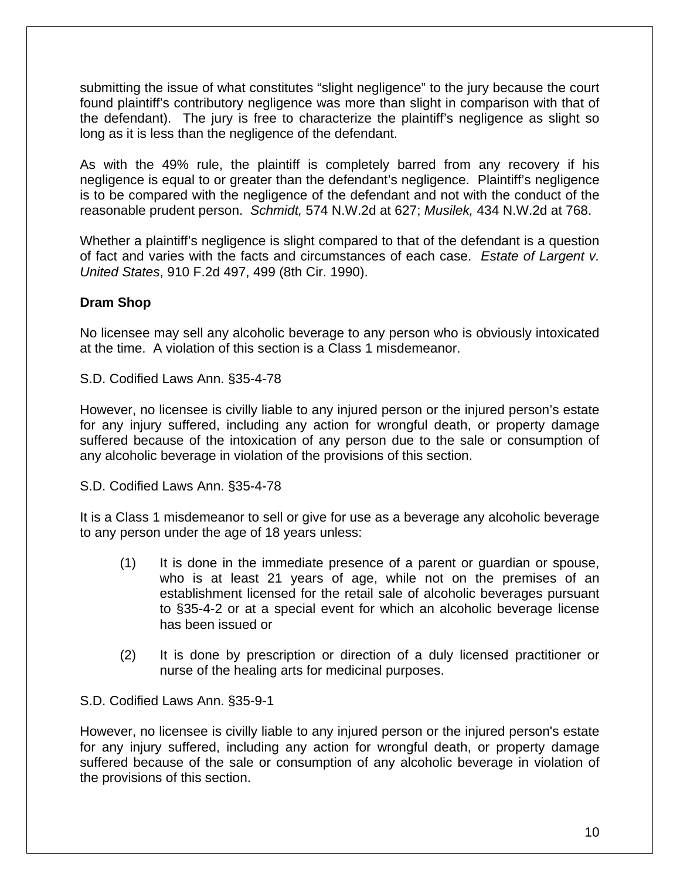submitting the issue of what constitutes "slight negligence" to the jury because the court found plaintiff's contributory negligence was more than slight in comparison with that of the defendant). The jury is free to characterize the plaintiff's negligence as slight so long as it is less than the negligence of the defendant.

As with the 49% rule, the plaintiff is completely barred from any recovery if his negligence is equal to or greater than the defendant's negligence. Plaintiff's negligence is to be compared with the negligence of the defendant and not with the conduct of the reasonable prudent person. *Schmidt,* 574 N.W.2d at 627; *Musilek,* 434 N.W.2d at 768.

Whether a plaintiff's negligence is slight compared to that of the defendant is a question of fact and varies with the facts and circumstances of each case. *Estate of Largent v. United States*, 910 F.2d 497, 499 (8th Cir. 1990).

# **Dram Shop**

No licensee may sell any alcoholic beverage to any person who is obviously intoxicated at the time. A violation of this section is a Class 1 misdemeanor.

S.D. Codified Laws Ann. §35-4-78

However, no licensee is civilly liable to any injured person or the injured person's estate for any injury suffered, including any action for wrongful death, or property damage suffered because of the intoxication of any person due to the sale or consumption of any alcoholic beverage in violation of the provisions of this section.

S.D. Codified Laws Ann. §35-4-78

It is a Class 1 misdemeanor to sell or give for use as a beverage any alcoholic beverage to any person under the age of 18 years unless:

- (1) It is done in the immediate presence of a parent or guardian or spouse, who is at least 21 years of age, while not on the premises of an establishment licensed for the retail sale of alcoholic beverages pursuant to §35-4-2 or at a special event for which an alcoholic beverage license has been issued or
- (2) It is done by prescription or direction of a duly licensed practitioner or nurse of the healing arts for medicinal purposes.

S.D. Codified Laws Ann. §35-9-1

However, no licensee is civilly liable to any injured person or the injured person's estate for any injury suffered, including any action for wrongful death, or property damage suffered because of the sale or consumption of any alcoholic beverage in violation of the provisions of this section.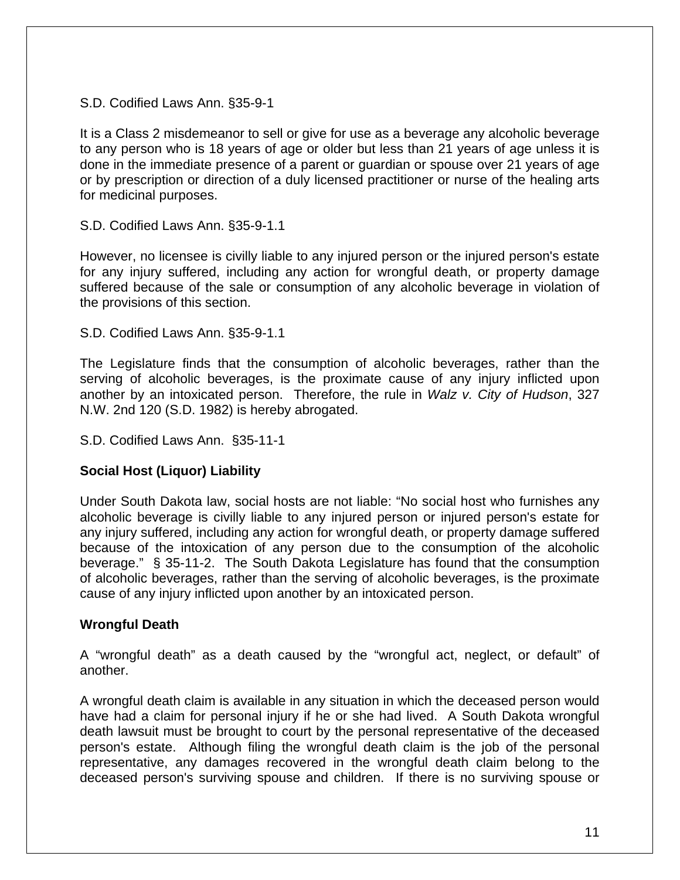S.D. Codified Laws Ann. §35-9-1

It is a Class 2 misdemeanor to sell or give for use as a beverage any alcoholic beverage to any person who is 18 years of age or older but less than 21 years of age unless it is done in the immediate presence of a parent or guardian or spouse over 21 years of age or by prescription or direction of a duly licensed practitioner or nurse of the healing arts for medicinal purposes.

S.D. Codified Laws Ann. §35-9-1.1

However, no licensee is civilly liable to any injured person or the injured person's estate for any injury suffered, including any action for wrongful death, or property damage suffered because of the sale or consumption of any alcoholic beverage in violation of the provisions of this section.

S.D. Codified Laws Ann. §35-9-1.1

The Legislature finds that the consumption of alcoholic beverages, rather than the serving of alcoholic beverages, is the proximate cause of any injury inflicted upon another by an intoxicated person. Therefore, the rule in *Walz v. City of Hudson*, 327 N.W. 2nd 120 (S.D. 1982) is hereby abrogated.

S.D. Codified Laws Ann. §35-11-1

#### **Social Host (Liquor) Liability**

Under South Dakota law, social hosts are not liable: "No social host who furnishes any alcoholic beverage is civilly liable to any injured person or injured person's estate for any injury suffered, including any action for wrongful death, or property damage suffered because of the intoxication of any person due to the consumption of the alcoholic beverage." § 35-11-2. The South Dakota Legislature has found that the consumption of alcoholic beverages, rather than the serving of alcoholic beverages, is the proximate cause of any injury inflicted upon another by an intoxicated person.

#### **Wrongful Death**

A "wrongful death" as a death caused by the "wrongful act, neglect, or default" of another.

A wrongful death claim is available in any situation in which the deceased person would have had a claim for personal injury if he or she had lived. A South Dakota wrongful death lawsuit must be brought to court by the personal representative of the deceased person's estate. Although filing the wrongful death claim is the job of the personal representative, any damages recovered in the wrongful death claim belong to the deceased person's surviving spouse and children. If there is no surviving spouse or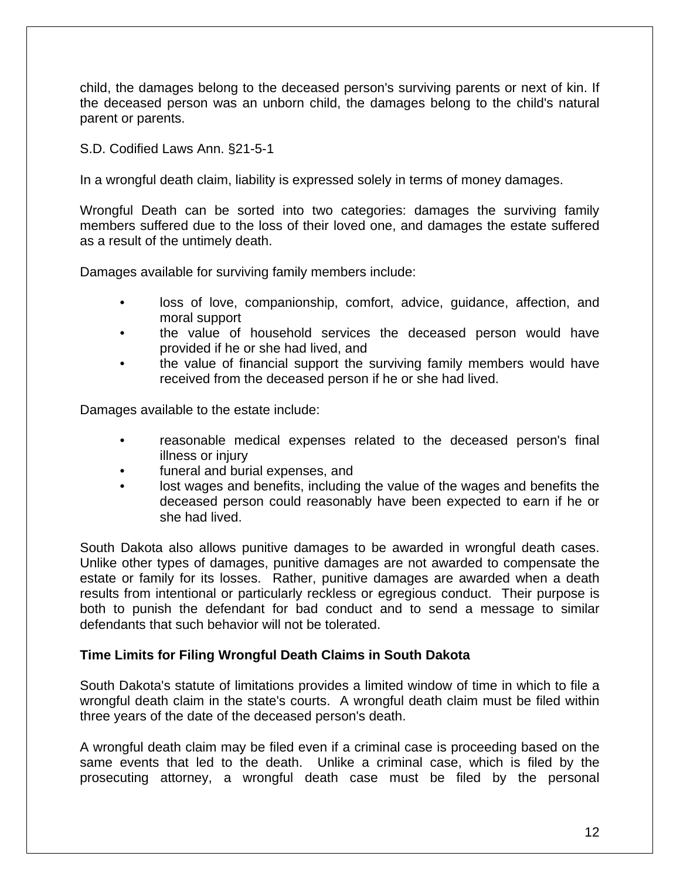child, the damages belong to the deceased person's surviving parents or next of kin. If the deceased person was an unborn child, the damages belong to the child's natural parent or parents.

S.D. Codified Laws Ann. §21-5-1

In a wrongful death claim, liability is expressed solely in terms of money damages.

Wrongful Death can be sorted into two categories: damages the surviving family members suffered due to the loss of their loved one, and damages the estate suffered as a result of the untimely death.

Damages available for surviving family members include:

- loss of love, companionship, comfort, advice, guidance, affection, and moral support
- the value of household services the deceased person would have provided if he or she had lived, and
- the value of financial support the surviving family members would have received from the deceased person if he or she had lived.

Damages available to the estate include:

- reasonable medical expenses related to the deceased person's final illness or injury
- funeral and burial expenses, and
- lost wages and benefits, including the value of the wages and benefits the deceased person could reasonably have been expected to earn if he or she had lived.

South Dakota also allows punitive damages to be awarded in wrongful death cases. Unlike other types of damages, punitive damages are not awarded to compensate the estate or family for its losses. Rather, punitive damages are awarded when a death results from intentional or particularly reckless or egregious conduct. Their purpose is both to punish the defendant for bad conduct and to send a message to similar defendants that such behavior will not be tolerated.

#### **Time Limits for Filing Wrongful Death Claims in South Dakota**

South Dakota's statute of limitations provides a limited window of time in which to file a wrongful death claim in the state's courts. A wrongful death claim must be filed within three years of the date of the deceased person's death.

A wrongful death claim may be filed even if a criminal case is proceeding based on the same events that led to the death. Unlike a criminal case, which is filed by the prosecuting attorney, a wrongful death case must be filed by the personal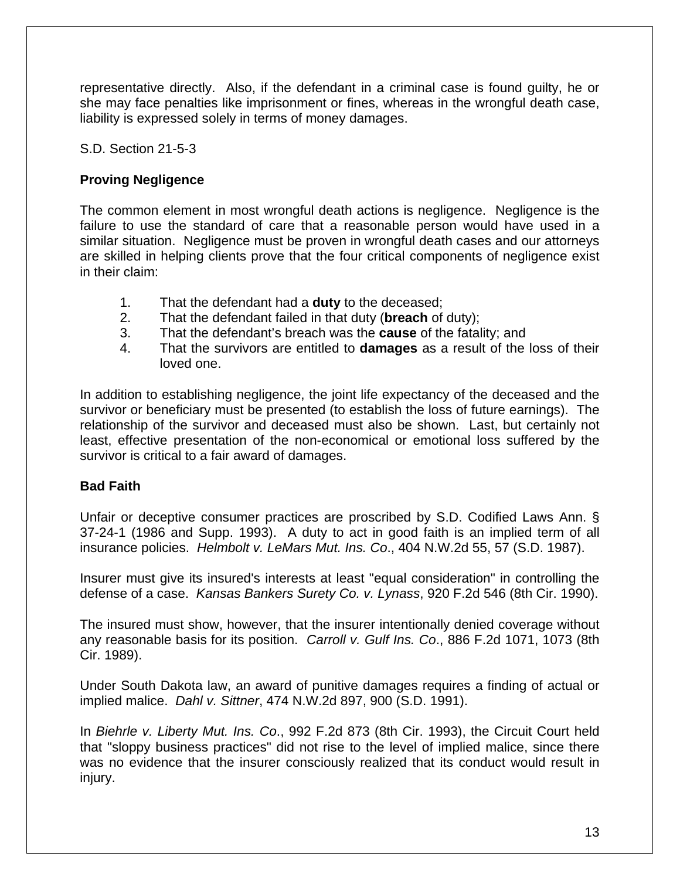representative directly. Also, if the defendant in a criminal case is found guilty, he or she may face penalties like imprisonment or fines, whereas in the wrongful death case, liability is expressed solely in terms of money damages.

S.D. Section 21-5-3

# **Proving Negligence**

The common element in most wrongful death actions is negligence. Negligence is the failure to use the standard of care that a reasonable person would have used in a similar situation. Negligence must be proven in wrongful death cases and our attorneys are skilled in helping clients prove that the four critical components of negligence exist in their claim:

- 1. That the defendant had a **duty** to the deceased;
- 2. That the defendant failed in that duty (**breach** of duty);
- 3. That the defendant's breach was the **cause** of the fatality; and
- 4. That the survivors are entitled to **damages** as a result of the loss of their loved one.

In addition to establishing negligence, the joint life expectancy of the deceased and the survivor or beneficiary must be presented (to establish the loss of future earnings). The relationship of the survivor and deceased must also be shown. Last, but certainly not least, effective presentation of the non-economical or emotional loss suffered by the survivor is critical to a fair award of damages.

# **Bad Faith**

Unfair or deceptive consumer practices are proscribed by S.D. Codified Laws Ann. § 37-24-1 (1986 and Supp. 1993). A duty to act in good faith is an implied term of all insurance policies. *Helmbolt v. LeMars Mut. Ins. Co*., 404 N.W.2d 55, 57 (S.D. 1987).

Insurer must give its insured's interests at least "equal consideration" in controlling the defense of a case. *Kansas Bankers Surety Co. v. Lynass*, 920 F.2d 546 (8th Cir. 1990).

The insured must show, however, that the insurer intentionally denied coverage without any reasonable basis for its position. *Carroll v. Gulf Ins. Co*., 886 F.2d 1071, 1073 (8th Cir. 1989).

Under South Dakota law, an award of punitive damages requires a finding of actual or implied malice. *Dahl v. Sittner*, 474 N.W.2d 897, 900 (S.D. 1991).

In *Biehrle v. Liberty Mut. Ins. Co*., 992 F.2d 873 (8th Cir. 1993), the Circuit Court held that "sloppy business practices" did not rise to the level of implied malice, since there was no evidence that the insurer consciously realized that its conduct would result in injury.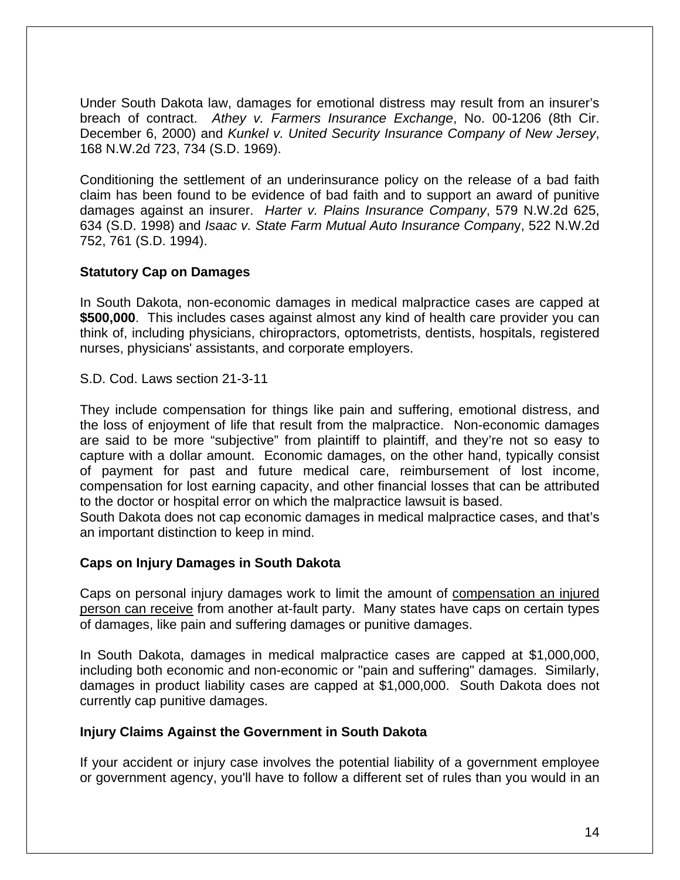Under South Dakota law, damages for emotional distress may result from an insurer's breach of contract. *Athey v. Farmers Insurance Exchange*, No. 00-1206 (8th Cir. December 6, 2000) and *Kunkel v. United Security Insurance Company of New Jersey*, 168 N.W.2d 723, 734 (S.D. 1969).

Conditioning the settlement of an underinsurance policy on the release of a bad faith claim has been found to be evidence of bad faith and to support an award of punitive damages against an insurer. *Harter v. Plains Insurance Company*, 579 N.W.2d 625, 634 (S.D. 1998) and *Isaac v. State Farm Mutual Auto Insurance Compan*y, 522 N.W.2d 752, 761 (S.D. 1994).

# **Statutory Cap on Damages**

In South Dakota, non-economic damages in medical malpractice cases are capped at **\$500,000**. This includes cases against almost any kind of health care provider you can think of, including physicians, chiropractors, optometrists, dentists, hospitals, registered nurses, physicians' assistants, and corporate employers.

S.D. Cod. Laws section 21-3-11

They include compensation for things like pain and suffering, emotional distress, and the loss of enjoyment of life that result from the malpractice. Non-economic damages are said to be more "subjective" from plaintiff to plaintiff, and they're not so easy to capture with a dollar amount. Economic damages, on the other hand, typically consist of payment for past and future medical care, reimbursement of lost income, compensation for lost earning capacity, and other financial losses that can be attributed to the doctor or hospital error on which the malpractice lawsuit is based.

South Dakota does not cap economic damages in medical malpractice cases, and that's an important distinction to keep in mind.

#### **Caps on Injury Damages in South Dakota**

Caps on personal injury damages work to limit the amount of compensation an injured person can receive from another at-fault party. Many states have caps on certain types of damages, like pain and suffering damages or punitive damages.

In South Dakota, damages in medical malpractice cases are capped at \$1,000,000, including both economic and non-economic or "pain and suffering" damages. Similarly, damages in product liability cases are capped at \$1,000,000. South Dakota does not currently cap punitive damages.

#### **Injury Claims Against the Government in South Dakota**

If your accident or injury case involves the potential liability of a government employee or government agency, you'll have to follow a different set of rules than you would in an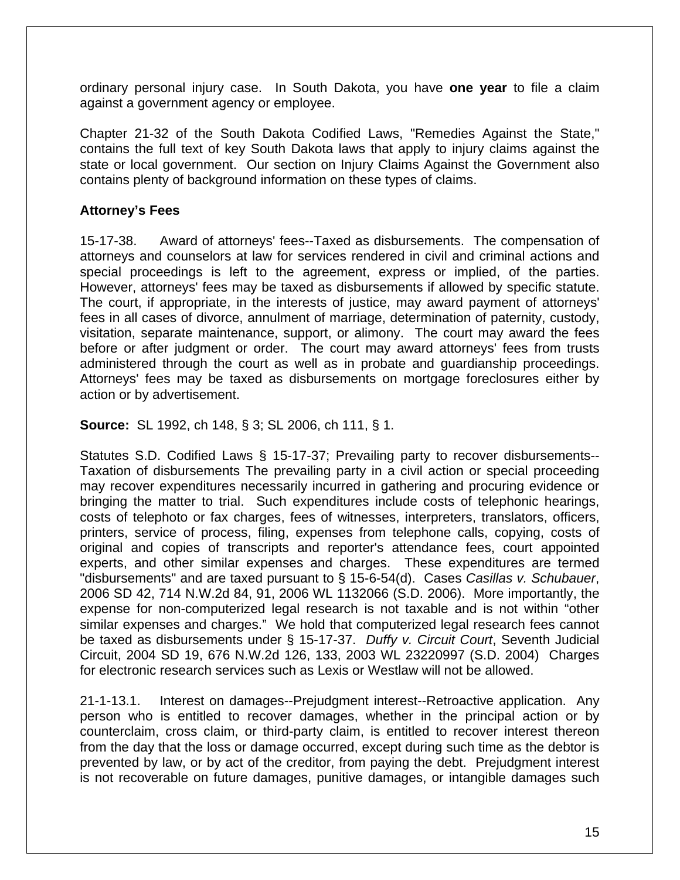ordinary personal injury case. In South Dakota, you have **one year** to file a claim against a government agency or employee.

Chapter 21-32 of the South Dakota Codified Laws, "Remedies Against the State," contains the full text of key South Dakota laws that apply to injury claims against the state or local government. Our section on Injury Claims Against the Government also contains plenty of background information on these types of claims.

#### **Attorney's Fees**

15-17-38. Award of attorneys' fees--Taxed as disbursements. The compensation of attorneys and counselors at law for services rendered in civil and criminal actions and special proceedings is left to the agreement, express or implied, of the parties. However, attorneys' fees may be taxed as disbursements if allowed by specific statute. The court, if appropriate, in the interests of justice, may award payment of attorneys' fees in all cases of divorce, annulment of marriage, determination of paternity, custody, visitation, separate maintenance, support, or alimony. The court may award the fees before or after judgment or order. The court may award attorneys' fees from trusts administered through the court as well as in probate and guardianship proceedings. Attorneys' fees may be taxed as disbursements on mortgage foreclosures either by action or by advertisement.

**Source:** SL 1992, ch 148, § 3; SL 2006, ch 111, § 1.

Statutes S.D. Codified Laws § 15-17-37; Prevailing party to recover disbursements-- Taxation of disbursements The prevailing party in a civil action or special proceeding may recover expenditures necessarily incurred in gathering and procuring evidence or bringing the matter to trial. Such expenditures include costs of telephonic hearings, costs of telephoto or fax charges, fees of witnesses, interpreters, translators, officers, printers, service of process, filing, expenses from telephone calls, copying, costs of original and copies of transcripts and reporter's attendance fees, court appointed experts, and other similar expenses and charges. These expenditures are termed "disbursements" and are taxed pursuant to § 15-6-54(d). Cases *Casillas v. Schubauer*, 2006 SD 42, 714 N.W.2d 84, 91, 2006 WL 1132066 (S.D. 2006). More importantly, the expense for non-computerized legal research is not taxable and is not within "other similar expenses and charges." We hold that computerized legal research fees cannot be taxed as disbursements under § 15-17-37. *Duffy v. Circuit Court*, Seventh Judicial Circuit, 2004 SD 19, 676 N.W.2d 126, 133, 2003 WL 23220997 (S.D. 2004) Charges for electronic research services such as Lexis or Westlaw will not be allowed.

21-1-13.1. Interest on damages--Prejudgment interest--Retroactive application. Any person who is entitled to recover damages, whether in the principal action or by counterclaim, cross claim, or third-party claim, is entitled to recover interest thereon from the day that the loss or damage occurred, except during such time as the debtor is prevented by law, or by act of the creditor, from paying the debt. Prejudgment interest is not recoverable on future damages, punitive damages, or intangible damages such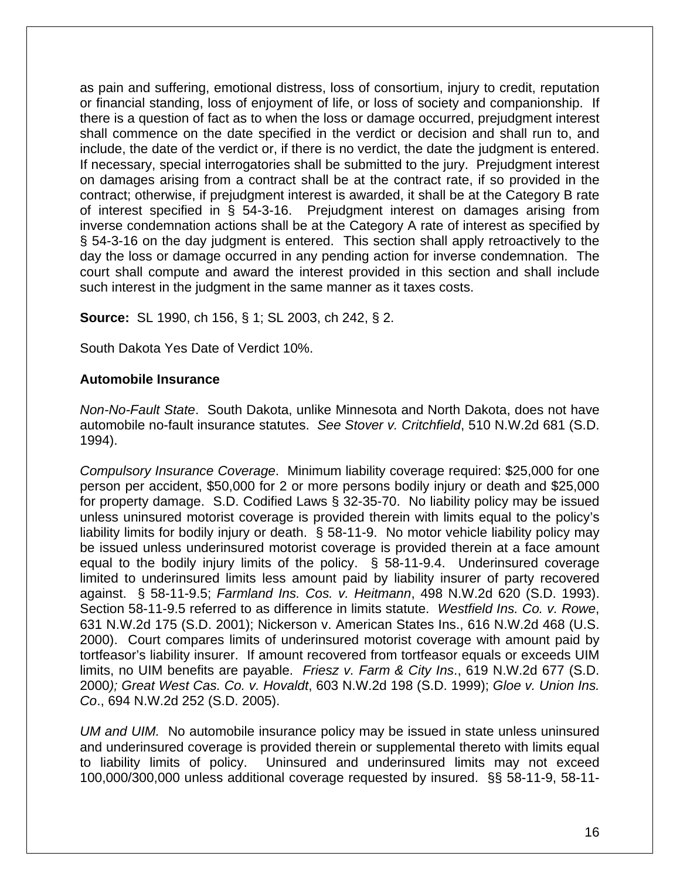as pain and suffering, emotional distress, loss of consortium, injury to credit, reputation or financial standing, loss of enjoyment of life, or loss of society and companionship. If there is a question of fact as to when the loss or damage occurred, prejudgment interest shall commence on the date specified in the verdict or decision and shall run to, and include, the date of the verdict or, if there is no verdict, the date the judgment is entered. If necessary, special interrogatories shall be submitted to the jury. Prejudgment interest on damages arising from a contract shall be at the contract rate, if so provided in the contract; otherwise, if prejudgment interest is awarded, it shall be at the Category B rate of interest specified in § 54-3-16. Prejudgment interest on damages arising from inverse condemnation actions shall be at the Category A rate of interest as specified by § 54-3-16 on the day judgment is entered. This section shall apply retroactively to the day the loss or damage occurred in any pending action for inverse condemnation. The court shall compute and award the interest provided in this section and shall include such interest in the judgment in the same manner as it taxes costs.

**Source:** SL 1990, ch 156, § 1; SL 2003, ch 242, § 2.

South Dakota Yes Date of Verdict 10%.

# **Automobile Insurance**

*Non-No-Fault State*. South Dakota, unlike Minnesota and North Dakota, does not have automobile no-fault insurance statutes. *See Stover v. Critchfield*, 510 N.W.2d 681 (S.D. 1994).

*Compulsory Insurance Coverage*. Minimum liability coverage required: \$25,000 for one person per accident, \$50,000 for 2 or more persons bodily injury or death and \$25,000 for property damage. S.D. Codified Laws § 32-35-70. No liability policy may be issued unless uninsured motorist coverage is provided therein with limits equal to the policy's liability limits for bodily injury or death. § 58-11-9. No motor vehicle liability policy may be issued unless underinsured motorist coverage is provided therein at a face amount equal to the bodily injury limits of the policy. § 58-11-9.4. Underinsured coverage limited to underinsured limits less amount paid by liability insurer of party recovered against. § 58-11-9.5; *Farmland Ins. Cos. v. Heitmann*, 498 N.W.2d 620 (S.D. 1993). Section 58-11-9.5 referred to as difference in limits statute. *Westfield Ins. Co. v. Rowe*, 631 N.W.2d 175 (S.D. 2001); Nickerson v. American States Ins., 616 N.W.2d 468 (U.S. 2000). Court compares limits of underinsured motorist coverage with amount paid by tortfeasor's liability insurer. If amount recovered from tortfeasor equals or exceeds UIM limits, no UIM benefits are payable. *Friesz v. Farm & City Ins*., 619 N.W.2d 677 (S.D. 2000*); Great West Cas. Co. v. Hovaldt*, 603 N.W.2d 198 (S.D. 1999); *Gloe v. Union Ins. Co*., 694 N.W.2d 252 (S.D. 2005).

*UM and UIM.* No automobile insurance policy may be issued in state unless uninsured and underinsured coverage is provided therein or supplemental thereto with limits equal to liability limits of policy. Uninsured and underinsured limits may not exceed 100,000/300,000 unless additional coverage requested by insured. §§ 58-11-9, 58-11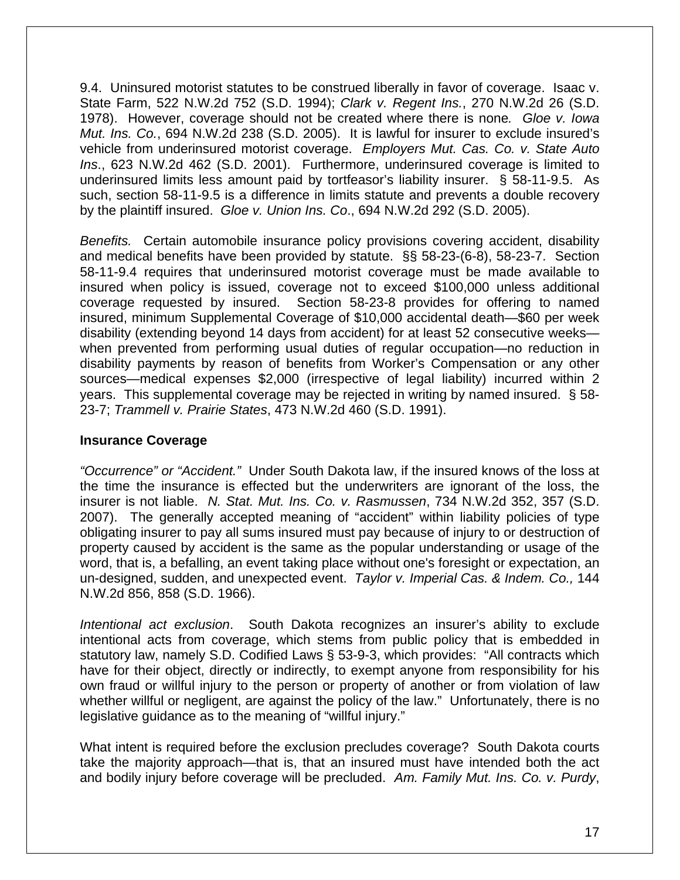9.4. Uninsured motorist statutes to be construed liberally in favor of coverage. Isaac v. State Farm, 522 N.W.2d 752 (S.D. 1994); *Clark v. Regent Ins.*, 270 N.W.2d 26 (S.D. 1978). However, coverage should not be created where there is none*. Gloe v. Iowa Mut. Ins. Co.*, 694 N.W.2d 238 (S.D. 2005). It is lawful for insurer to exclude insured's vehicle from underinsured motorist coverage. *Employers Mut. Cas. Co. v. State Auto Ins*., 623 N.W.2d 462 (S.D. 2001). Furthermore, underinsured coverage is limited to underinsured limits less amount paid by tortfeasor's liability insurer. § 58-11-9.5. As such, section 58-11-9.5 is a difference in limits statute and prevents a double recovery by the plaintiff insured. *Gloe v. Union Ins. Co*., 694 N.W.2d 292 (S.D. 2005).

*Benefits.* Certain automobile insurance policy provisions covering accident, disability and medical benefits have been provided by statute. §§ 58-23-(6-8), 58-23-7. Section 58-11-9.4 requires that underinsured motorist coverage must be made available to insured when policy is issued, coverage not to exceed \$100,000 unless additional coverage requested by insured. Section 58-23-8 provides for offering to named insured, minimum Supplemental Coverage of \$10,000 accidental death—\$60 per week disability (extending beyond 14 days from accident) for at least 52 consecutive weeks when prevented from performing usual duties of regular occupation—no reduction in disability payments by reason of benefits from Worker's Compensation or any other sources—medical expenses \$2,000 (irrespective of legal liability) incurred within 2 years. This supplemental coverage may be rejected in writing by named insured. § 58- 23-7; *Trammell v. Prairie States*, 473 N.W.2d 460 (S.D. 1991).

#### **Insurance Coverage**

*"Occurrence" or "Accident."* Under South Dakota law, if the insured knows of the loss at the time the insurance is effected but the underwriters are ignorant of the loss, the insurer is not liable. *N. Stat. Mut. Ins. Co. v. Rasmussen*, 734 N.W.2d 352, 357 (S.D. 2007). The generally accepted meaning of "accident" within liability policies of type obligating insurer to pay all sums insured must pay because of injury to or destruction of property caused by accident is the same as the popular understanding or usage of the word, that is, a befalling, an event taking place without one's foresight or expectation, an un-designed, sudden, and unexpected event. *Taylor v. Imperial Cas. & Indem. Co.,* 144 N.W.2d 856, 858 (S.D. 1966).

*Intentional act exclusion*. South Dakota recognizes an insurer's ability to exclude intentional acts from coverage, which stems from public policy that is embedded in statutory law, namely S.D. Codified Laws § 53-9-3, which provides: "All contracts which have for their object, directly or indirectly, to exempt anyone from responsibility for his own fraud or willful injury to the person or property of another or from violation of law whether willful or negligent, are against the policy of the law." Unfortunately, there is no legislative guidance as to the meaning of "willful injury."

What intent is required before the exclusion precludes coverage? South Dakota courts take the majority approach—that is, that an insured must have intended both the act and bodily injury before coverage will be precluded. *Am. Family Mut. Ins. Co. v. Purdy*,